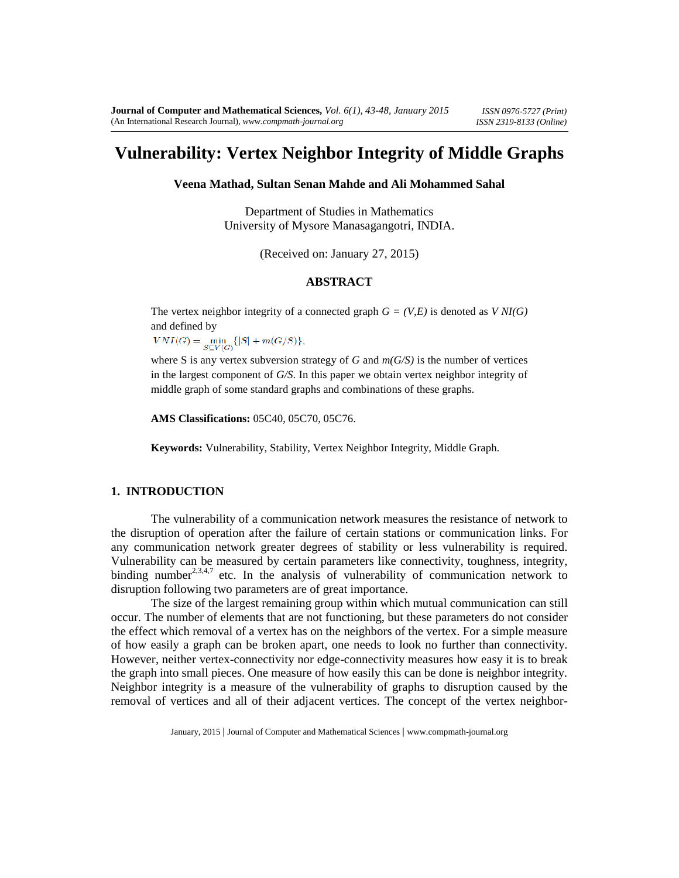# Vulnerability : Vertex Neighbor Integrity of Middle Graphs

Veena Mathad, Sultan Sean Mahde and Ali Mohammed Sahal

Department of Studies in Mathematics University of MysoreManasagangotrINDIA.

(Received on January  $(27, 2015)$ )

## ABSTRACT

The vertex neighbor integrity of a connected graph (V,E) is denoted as  $NI(G)$ and deined by

where S is any vertex subversion strateg $G$  andm( $G$ S) is the number of vertices in the largest component  $G/S$ . In this paper we obtain vertex neighbor integrity of middle graph of some standard graphs and combinations of these graphs.

AMS Classifications:05C40, 05C70, 05C76.

Keywords: Vulnerability, Stability, Vertex Neighbor Integrity, Middle Graph.

## 1. INTRODUCTION

The vulnerability of a communication network measures the resistame ework to the disruption of operation after the failure of certain stations or munication links. For any communication network greater degrees of stability or less vulnerability is required. Vulnerability can be measured by certain ameters like connectivity, toughness, integrity, binding number<sup>3,4,7</sup> etc. In the analysis of vulnerability focommunication network to disruption following two parameters are of great importance.

The size of the largest remaining group within which mutual communicationstill occur. The number of elements that are not functioning, but **parae**neters do not posider the effect which removal of a vertex has on the ighbors of the vertex. For a simple measure of how easily a graph can beoken apart, one needs to look no further than connectivity. However, neithervertex-connectivity nor edgeonnectivity meaures how easy it is to break thegraph into small pieces. One measure of how easily this can be done is neighbor integrity. Neighbor integrity is a measure of the vulnerability of graphelis to caused by the removal of vertices and all of their adjent vertices The concept of the vertex neighbor

January, 201\$Journal of Computer and Mathematical Sciercesw.compmathjournal.org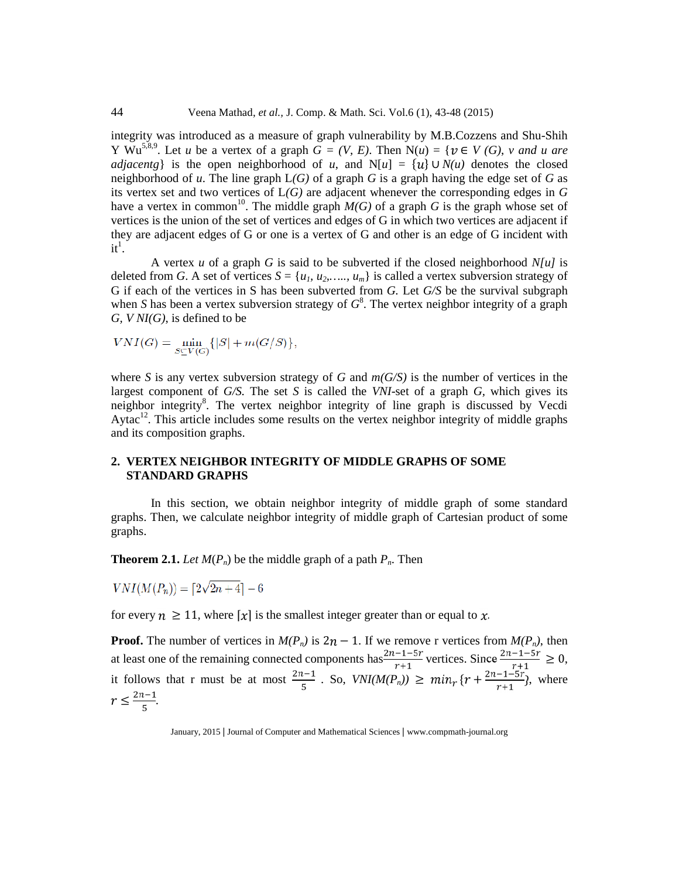#### 44 Veena Mathadet al., J. Comp. & MathSci. Vol.6(1), 43-48 (2015)

integrity was introduced as a measure pratic vulnerability by M.B.Cozzens and Shaih Y  $Wu^{5,8,9}$ . Let u be avertex of a graph  $\mathbf{G} = (V, E)$ . Then  $N(u) = \{$  " V (G), v and u are adjacent $\hat{g}$  is the open neighborhood of u, and N[u] = { }"\*N(u) denotes the closed neighborhood ofu. The line graph (G) of a graphG is a graph having the dge set oG as its vertex set and two vertices of  $G$ ) are adjacent whenever the corresponding edges  $G$ have a vertex in common The middle grap M(G) of a graphG is the graph whose set of vertices is the union of the setvertices and edges of G in which two vertices are adjacent if they are adjacend dges of G or one is a vertex of G and other misdge of G incident with  $it^1$ .

A vertex u of a graphG is said to be subverted if the closed neighborhood is deleted from G. A set of vertice  $S = \{u_1, u_2, \in \dots, u_m\}$  is called a vertexubversion strategy of G if each of the vertices in S has been subvection G. Let G/S be the survival subgraph whenShas been a vertex subversion strateg $G^8$ . The vertex neighbor integrity of a graph  $G, V$  NI $(G)$  is defined to be

where S is any vertex subversion strategy  $\mathsf{G}$  and  $\mathsf{G}(G)$  is the number of vertices in the largest component ofG/S. The setS is called theVNI-set of a graphG, which gives its neighbor integrity. The vertex neighbor integrity of line graph is discussed by Vecdi Aytac<sup>12</sup>. This article includes some results to vertex neighbor integrity of middle graphs and its composition graphs.

## 2. VERTEX NEIGHBOR INTEGRITY OF MIDDLE GRAPHS OF SOME STANDARD GRAPHS

In this section, we obtain neighbor integrity of middle graph of some standard graphs. Then, we calculate neighbor integrity of middle graphesian product of some graphs.

Theorem 2.1. Let  $M(P_n)$  be the middle graph of a path Then.

## for every  $e$  1, 1 where  $#$  # is the smallest integer greater than or equal to.

```
Proof. The number of vertices \mathbf{i}M(P_n) is 2 " 1. If we remove r vertices from M(P_n), then
at least one of the remaining connected components has vertices. Since \qquad "e 0
it follows that r must be at most \cdots . So, VNI(M(P<sub>n</sub>)) "e { \longleftarrow + \q \text{ \text{ \text{ \text{ \text{ \text{ \text{ \text{ \text{ \text{ \text{ \text{ \text{ \text{ \text{ \text{ \text{ \text{ \text{ \text{ \text
```
 $-d$ 

January, 2015 Journal of Computer and Mathematical Sciercoww.compmathournal.org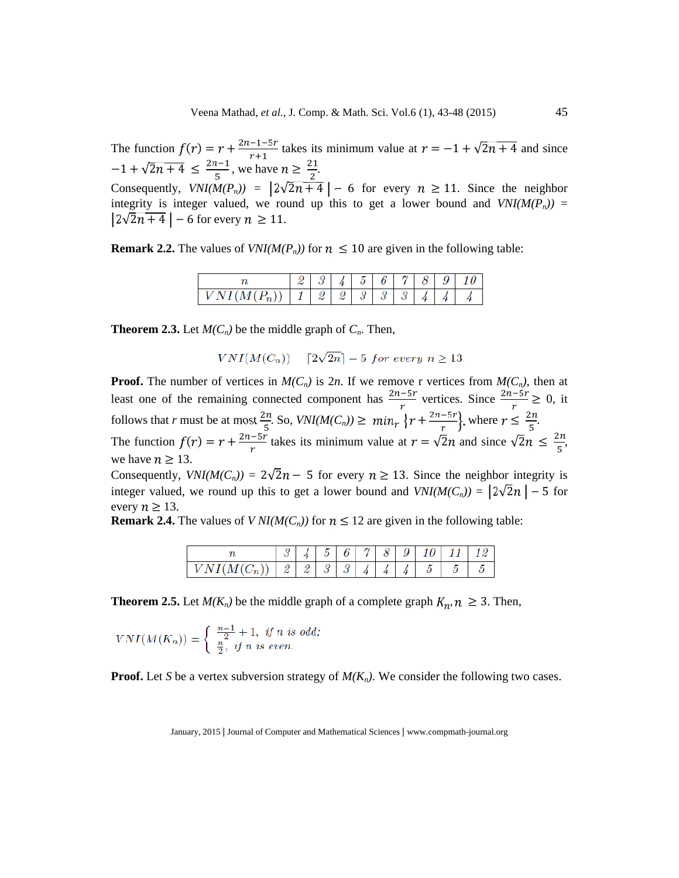The function ( ) =  $+\rightarrow$  takes its minimum value at =" 1+"  $\overline{2 + 4}$  and since "  $1+$   $\sqrt{2 + 4}$  "d  $\frac{1}{2}$  we have "e  $\frac{1}{2}$ . Consequently, VNI(M(P<sub>n</sub>)) =  $2\overline{2+4}$  " 6 for every "e 1.1 Since theneighbor integrity is integervalued, we round up this to get a lower bound  $\frac{\partial f}{\partial x}(M(P_n)) =$  $2 \overline{2 + 4}$  " 6for every "e 1.1

Remark 2.2. The values of  $N I(M(P_n))$  for  $"d 1$  are given in the following able:

Theorem 2.3.Let  $M(C_n)$  be the middle graph  $\mathbf{d}_n^n$ . Then,

Proof. The number of vertices  $iM(C_n)$  is  $2n$ . If we remove r vertices from  $M(C_n)$ , then at least one of the remaining connected component–has vertices. Since --- "e 0, it follows thatr must be at most-. So, VNI( $M(C_n)$ ) "e  $\longrightarrow$  , where "d -. The function ( ) =  $+\rightarrow$  takes its minimum value at =  $\sqrt{2}$  and since  $\sqrt{2}$  "d -, we have "e13. Consequently, VNI(M(C<sub>n</sub>)) =  $2\overline{2}$  " 5 for every "e 1 3 Since the neighbor integrity is integer valued, we round up this to get a lower rote band VNI( $M(C_n)$ ) = 2  $\overline{2}$  " 5for every "e13. Remark 2.4. The values of  $NI(M(C_n))$  for "d12 are given in the following able:

Theorem 2.5. Let  $M(K_n)$  be the middle graph of a complete graph, "e 3 Then,

Proof. Let Sbe a vertex subversion strategy Mat K<sub>n</sub>). We consider the blowing two cases.

January, 2015 Journal of Computer and Mathematical Sciercoww.compmathournal.org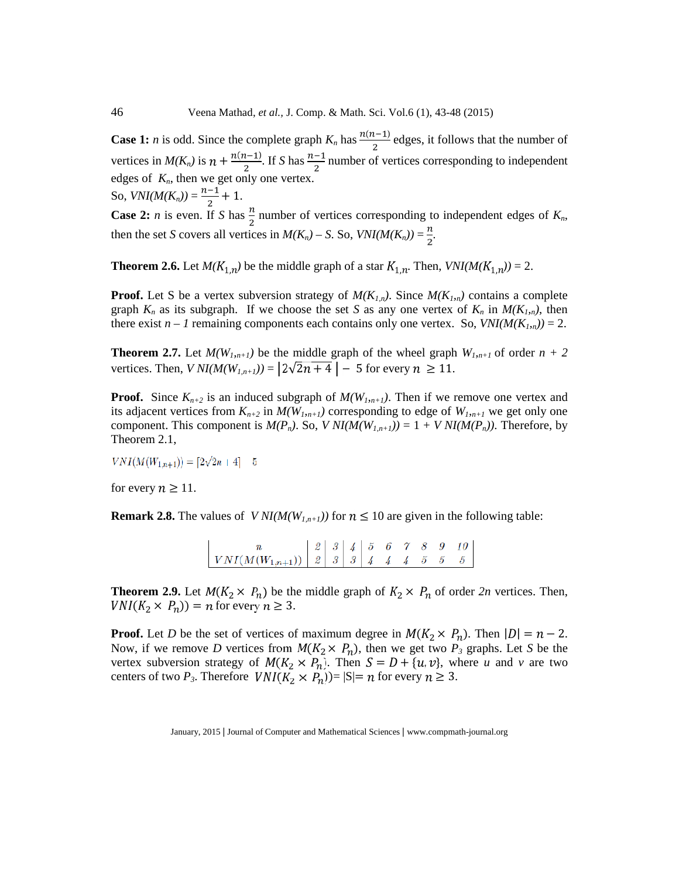Case 1:n is odd. Since the complete gra $\beta$ has  $($   $)$ edges, it follows that the number of vertices inM(K<sub>n</sub>) is  $\quad$  +  $\frac{(+)'}{=}$ . If Shas— number ofvertices corresponding to independent edges of $K_{n}$ , then we get only one vertex.

So,  $VNI(M(K_n)) = -+1$ .

Case 2:n is even. IfS has - number of vertices corresponding to independent edges of  $K_n$ , then the sest covers all vertices  $iM(K_n) \in S$ . So, VNI( $M(K_n)$ ) = -.

Theorem 2.6.Let M(  $\,$   $_{\rm ,}$  ) be the middle graph of a star  $_{\rm ,}$  . Then,VNI(M(  $\,$   $_{\rm ,}$  )) = 2.

Proof. Let S be a vertex subversion strategy  $M(K_{1,n})$ . Since  $M(K_{1,n})$  contains a complete graph $K_n$  as its subgraph.If we choose the set as anyone vertex of  $K_n$  in  $M(K_{1,n})$ , then there exist • 1 remaining components eachntains only one vertex So, VNI( $M(K_{1n})$ ) = 2.

Theorem 2.7. Let M( $W_{1,n+1}$ ) be the middle graph of the wheel graph<sub>n+1</sub> of ordern + 2 vertices. Then) NI(M( $W_{n+1}$ ) = 2  $\overline{2+4}$  " 5for every "e 1.1

Proof. Since $K_{n+2}$  is an induced subgraph  $M(W_{1,n+1})$ . Then if we removene vertex and its adjacent vertices from  $_{n+2}$  in M( $W_{1,n+1}$ ) corresponding to dge of  $W_{1,n+1}$  we get only one component. This component  $\mathbf{N}(P_n)$ . So, V NI $(M(W_{1,n+1})) = 1 + V$  NI $(M(P_n))$ . Therefore, by Theorem 21.

for every "e11.

Remark 2.8. The values of  $V \sim N \left( M(W_{1,n+1}) \right)$  for "d10 are given in the blowing table:

Theorem 2.9. Let  $(x)$  be the middle graph of  $x$  of order 2n vertices. Then,  $(x, y)$  = for every "e 3.

Proof. Let D be the set of vertices of maximum degree in  $\left(x\right)$ . Then  $\left|\right| = \left(x\right)$ Now, if we removeD vertices from  $(x, y)$  then we getwo  $P_3$  graphs. LetS be the vertex subversion strategy  $(x, y)$  Then =  $\pm \{ , \}$  whereu and v are two centers of two <sup>P</sup><sub>3</sub>. Therefore  $(x, y)$  =  $|S|$  for every "e 3.

January, 2015 Journal of Computer and Mathematical Scierces w.compmathournal.org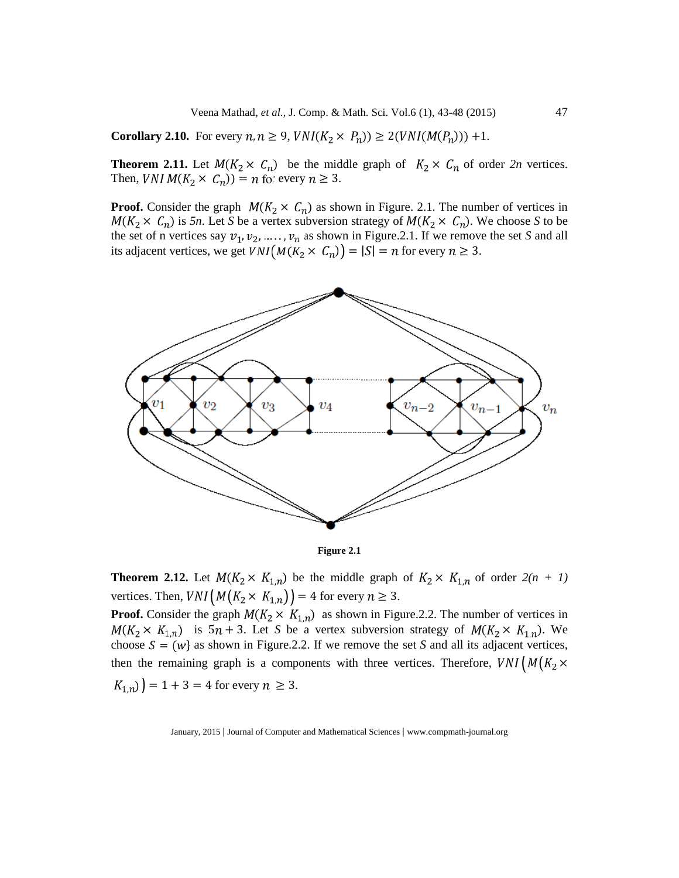Veena Mathadet al., J. Comp. & MathSci. Vol.6(1), 43-48 (2015) 47

Corollary 2.10. For every , "e 9  $(x, y)$ "e 2( ( ( ))) +1.

Theorem 2.11. Let  $(x)$  be the middle graph of  $x$  of order 2n vertices. Then,  $(x) = 6$  for every "e 3.

Proof. Consider the graph  $(x - x)$  as shown in Figure. 2.1. The number vertices in  $(x - x)$  is 5n. Let Sbe a vertex subversion strategy of  $(x - x)$ . We choose to be the set of n vertices say, , & .., asshown in Figure 2.1. If we remove the set and all its adjacent vertices, we get  $(x, y) = | | =$  for every "e 3.

#### Figure 2.1

Theorem 2.12.Let  $( x , )$  be the middle graph of  $x ,$  of order 2(n + 1) vertices. Then,  $\times$  $=$  4for every  $"e<sub>3</sub>$ Proof. Consider the graph ( x \_\_ , )as shown in Figure.2.2. The numbérvertices in  $(x, y)$  is 5 + 3 Let S be a vertex subversion strategy of  $(x, y)$ . We choose  $=$  (  $\}$  as shown in Figure.2.2. If we remove the S and all its adjacent vertices, then the remaining graph is a component the vertices. Therefore,  $\times$ 

 $, \, \, \bigr) = 1 + 3 = 4$  for every "e 3.

January, 2015 Journal of Computer and Mathematical Scierces w.compmathournal.org